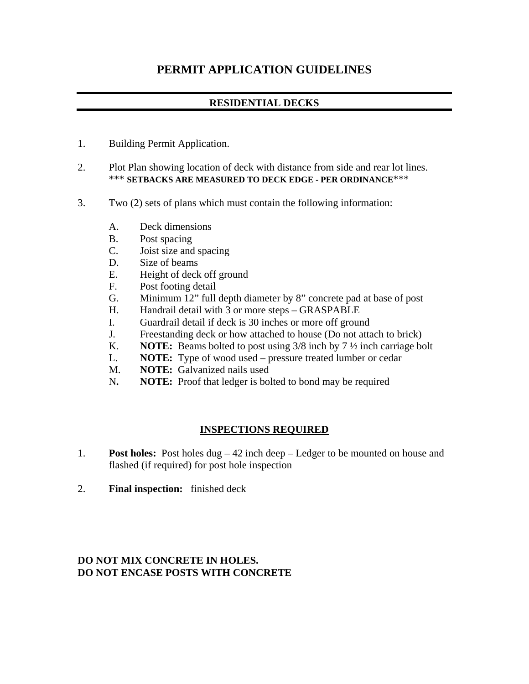## **PERMIT APPLICATION GUIDELINES**

## **RESIDENTIAL DECKS**

- 1. Building Permit Application.
- 2. Plot Plan showing location of deck with distance from side and rear lot lines. \*\*\* **SETBACKS ARE MEASURED TO DECK EDGE - PER ORDINANCE**\*\*\*
- 3. Two (2) sets of plans which must contain the following information:
	- A. Deck dimensions
	- B. Post spacing
	- C. Joist size and spacing
	- D. Size of beams
	- E. Height of deck off ground
	- F. Post footing detail
	- G. Minimum 12" full depth diameter by 8" concrete pad at base of post
	- H. Handrail detail with 3 or more steps GRASPABLE
	- I. Guardrail detail if deck is 30 inches or more off ground
	- J. Freestanding deck or how attached to house (Do not attach to brick)
	- K. **NOTE:** Beams bolted to post using 3/8 inch by 7 ½ inch carriage bolt
	- L. **NOTE:** Type of wood used pressure treated lumber or cedar
	- M. **NOTE:** Galvanized nails used
	- N**. NOTE:** Proof that ledger is bolted to bond may be required

## **INSPECTIONS REQUIRED**

- 1. **Post holes:** Post holes dug 42 inch deep Ledger to be mounted on house and flashed (if required) for post hole inspection
- 2. **Final inspection:** finished deck

## **DO NOT MIX CONCRETE IN HOLES. DO NOT ENCASE POSTS WITH CONCRETE**